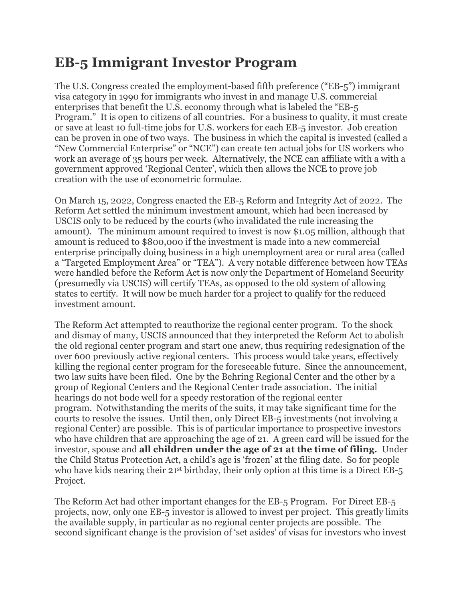## **EB-5 Immigrant Investor Program**

The U.S. Congress created the employment-based fifth preference ("EB-5") immigrant visa category in 1990 for immigrants who invest in and manage U.S. commercial enterprises that benefit the U.S. economy through what is labeled the "EB-5 Program." It is open to citizens of all countries. For a business to quality, it must create or save at least 10 full-time jobs for U.S. workers for each EB-5 investor. Job creation can be proven in one of two ways. The business in which the capital is invested (called a "New Commercial Enterprise" or "NCE") can create ten actual jobs for US workers who work an average of 35 hours per week. Alternatively, the NCE can affiliate with a with a government approved 'Regional Center', which then allows the NCE to prove job creation with the use of econometric formulae.

On March 15, 2022, Congress enacted the EB-5 Reform and Integrity Act of 2022. The Reform Act settled the minimum investment amount, which had been increased by USCIS only to be reduced by the courts (who invalidated the rule increasing the amount). The minimum amount required to invest is now \$1.05 million, although that amount is reduced to \$800,000 if the investment is made into a new commercial enterprise principally doing business in a high unemployment area or rural area (called a "Targeted Employment Area" or "TEA"). A very notable difference between how TEAs were handled before the Reform Act is now only the Department of Homeland Security (presumedly via USCIS) will certify TEAs, as opposed to the old system of allowing states to certify. It will now be much harder for a project to qualify for the reduced investment amount.

The Reform Act attempted to reauthorize the regional center program. To the shock and dismay of many, USCIS announced that they interpreted the Reform Act to abolish the old regional center program and start one anew, thus requiring redesignation of the over 600 previously active regional centers. This process would take years, effectively killing the regional center program for the foreseeable future. Since the announcement, two law suits have been filed. One by the Behring Regional Center and the other by a group of Regional Centers and the Regional Center trade association. The initial hearings do not bode well for a speedy restoration of the regional center program. Notwithstanding the merits of the suits, it may take significant time for the courts to resolve the issues. Until then, only Direct EB-5 investments (not involving a regional Center) are possible. This is of particular importance to prospective investors who have children that are approaching the age of 21. A green card will be issued for the investor, spouse and **all children under the age of 21 at the time of filing.** Under the Child Status Protection Act, a child's age is 'frozen' at the filing date. So for people who have kids nearing their 21<sup>st</sup> birthday, their only option at this time is a Direct EB-5 Project.

The Reform Act had other important changes for the EB-5 Program. For Direct EB-5 projects, now, only one EB-5 investor is allowed to invest per project. This greatly limits the available supply, in particular as no regional center projects are possible. The second significant change is the provision of 'set asides' of visas for investors who invest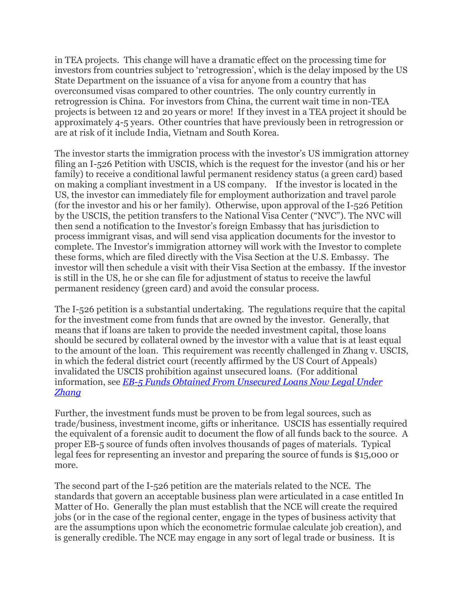in TEA projects. This change will have a dramatic effect on the processing time for investors from countries subject to 'retrogression', which is the delay imposed by the US State Department on the issuance of a visa for anyone from a country that has overconsumed visas compared to other countries. The only country currently in retrogression is China. For investors from China, the current wait time in non-TEA projects is between 12 and 20 years or more! If they invest in a TEA project it should be approximately 4-5 years. Other countries that have previously been in retrogression or are at risk of it include India, Vietnam and South Korea.

The investor starts the immigration process with the investor's US immigration attorney filing an I-526 Petition with USCIS, which is the request for the investor (and his or her family) to receive a conditional lawful permanent residency status (a green card) based on making a compliant investment in a US company. If the investor is located in the US, the investor can immediately file for employment authorization and travel parole (for the investor and his or her family). Otherwise, upon approval of the I-526 Petition by the USCIS, the petition transfers to the National Visa Center ("NVC"). The NVC will then send a notification to the Investor's foreign Embassy that has jurisdiction to process immigrant visas, and will send visa application documents for the investor to complete. The Investor's immigration attorney will work with the Investor to complete these forms, which are filed directly with the Visa Section at the U.S. Embassy. The investor will then schedule a visit with their Visa Section at the embassy. If the investor is still in the US, he or she can file for adjustment of status to receive the lawful permanent residency (green card) and avoid the consular process.

The I-526 petition is a substantial undertaking. The regulations require that the capital for the investment come from funds that are owned by the investor. Generally, that means that if loans are taken to provide the needed investment capital, those loans should be secured by collateral owned by the investor with a value that is at least equal to the amount of the loan. This requirement was recently challenged in Zhang v. USCIS, in which the federal district court (recently affirmed by the US Court of Appeals) invalidated the USCIS prohibition against unsecured loans. (For additional information, see *[EB-5 Funds Obtained From Unsecured Loans Now Legal Under](http://e3ig.com/eb-5-funds-obtained-from-unsecured-loans-now-legal-under-zhang-february-6-2019/)  [Zhang](http://e3ig.com/eb-5-funds-obtained-from-unsecured-loans-now-legal-under-zhang-february-6-2019/)*

Further, the investment funds must be proven to be from legal sources, such as trade/business, investment income, gifts or inheritance. USCIS has essentially required the equivalent of a forensic audit to document the flow of all funds back to the source. A proper EB-5 source of funds often involves thousands of pages of materials. Typical legal fees for representing an investor and preparing the source of funds is \$15,000 or more.

The second part of the I-526 petition are the materials related to the NCE. The standards that govern an acceptable business plan were articulated in a case entitled In Matter of Ho. Generally the plan must establish that the NCE will create the required jobs (or in the case of the regional center, engage in the types of business activity that are the assumptions upon which the econometric formulae calculate job creation), and is generally credible. The NCE may engage in any sort of legal trade or business. It is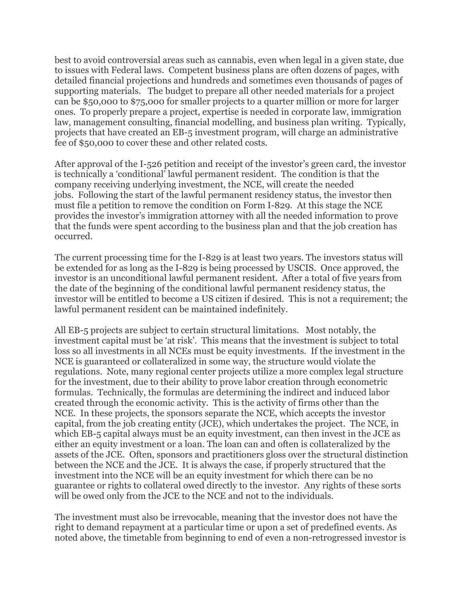best to avoid controversial areas such as cannabis, even when legal in a given state, due to issues with Federal laws. Competent business plans are often dozens of pages, with detailed financial projections and hundreds and sometimes even thousands of pages of supporting materials. The budget to prepare all other needed materials for a project can be \$50,000 to \$75,000 for smaller projects to a quarter million or more for larger ones. To properly prepare a project, expertise is needed in corporate law, immigration law, management consulting, financial modelling, and business plan writing. Typically, projects that have created an EB-5 investment program, will charge an administrative fee of \$50,000 to cover these and other related costs.

After approval of the I-526 petition and receipt of the investor's green card, the investor is technically a 'conditional' lawful permanent resident. The condition is that the company receiving underlying investment, the NCE, will create the needed jobs. Following the start of the lawful permanent residency status, the investor then must file a petition to remove the condition on Form I-829. At this stage the NCE provides the investor's immigration attorney with all the needed information to prove that the funds were spent according to the business plan and that the job creation has occurred.

The current processing time for the I-829 is at least two years. The investors status will be extended for as long as the I-829 is being processed by USCIS. Once approved, the investor is an unconditional lawful permanent resident. After a total of five years from the date of the beginning of the conditional lawful permanent residency status, the investor will be entitled to become a US citizen if desired. This is not a requirement; the lawful permanent resident can be maintained indefinitely.

All EB-5 projects are subject to certain structural limitations. Most notably, the investment capital must be 'at risk'. This means that the investment is subject to total loss so all investments in all NCEs must be equity investments. If the investment in the NCE is guaranteed or collateralized in some way, the structure would violate the regulations. Note, many regional center projects utilize a more complex legal structure for the investment, due to their ability to prove labor creation through econometric formulas. Technically, the formulas are determining the indirect and induced labor created through the economic activity. This is the activity of firms other than the NCE. In these projects, the sponsors separate the NCE, which accepts the investor capital, from the job creating entity (JCE), which undertakes the project. The NCE, in which EB-5 capital always must be an equity investment, can then invest in the JCE as either an equity investment or a loan. The loan can and often is collateralized by the assets of the JCE. Often, sponsors and practitioners gloss over the structural distinction between the NCE and the JCE. It is always the case, if properly structured that the investment into the NCE will be an equity investment for which there can be no guarantee or rights to collateral owed directly to the investor. Any rights of these sorts will be owed only from the JCE to the NCE and not to the individuals.

The investment must also be irrevocable, meaning that the investor does not have the right to demand repayment at a particular time or upon a set of predefined events. As noted above, the timetable from beginning to end of even a non-retrogressed investor is